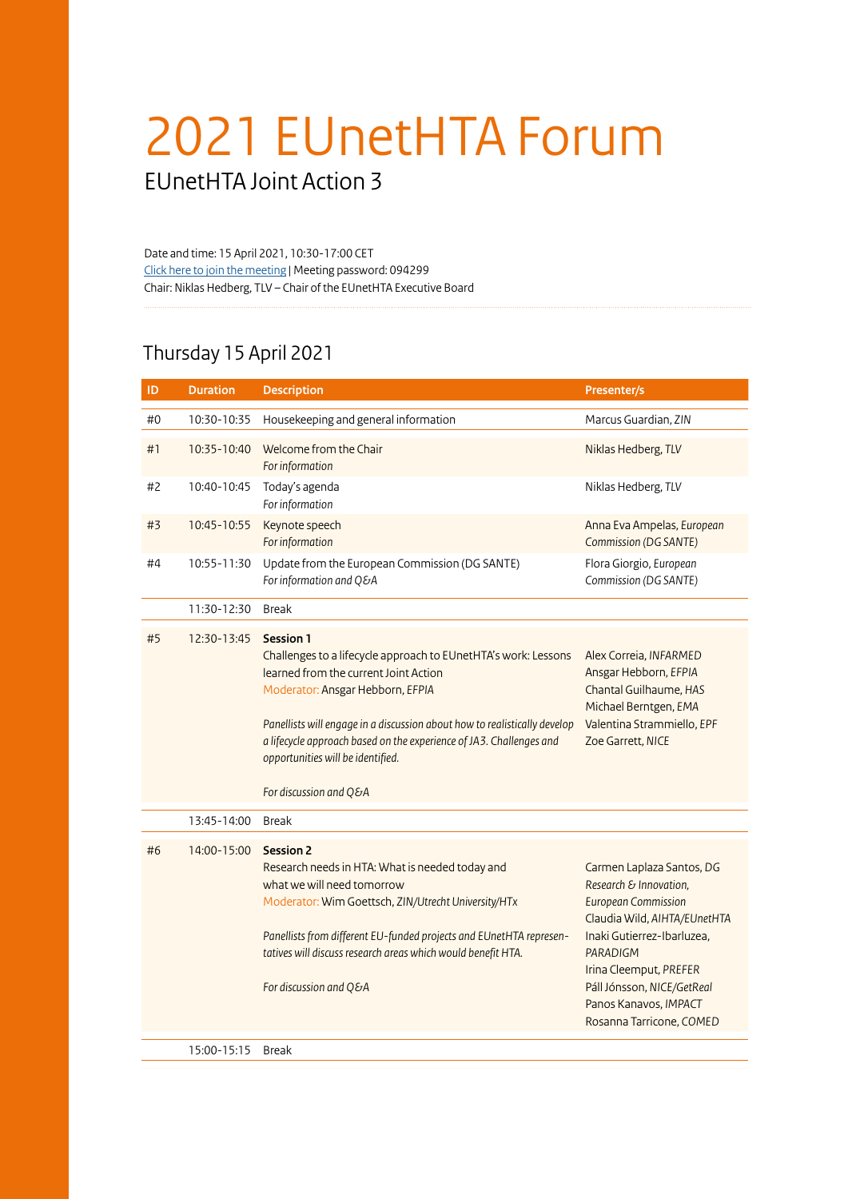## 2021 EUnetHTA Forum

EUnetHTA Joint Action 3

Date and time: 15 April 2021, 10:30-17:00 CET [Click here to join the meeting](https://us02web.zoom.us/j/86843802930?pwd=eWxxdjBGOHMzbWlDUDRpZ2VRREZSdz09#success) | Meeting password: 094299 Chair: Niklas Hedberg, TLV – Chair of the EUnetHTA Executive Board

## Thursday 15 April 2021

| ID | <b>Duration</b> | <b>Description</b>                                                                                                                                                                                                                                                                                                                                                                 | Presenter/s                                                                                                                                                                                                                                                                     |
|----|-----------------|------------------------------------------------------------------------------------------------------------------------------------------------------------------------------------------------------------------------------------------------------------------------------------------------------------------------------------------------------------------------------------|---------------------------------------------------------------------------------------------------------------------------------------------------------------------------------------------------------------------------------------------------------------------------------|
| #0 | 10:30-10:35     | Housekeeping and general information                                                                                                                                                                                                                                                                                                                                               | Marcus Guardian, ZIN                                                                                                                                                                                                                                                            |
| #1 | 10:35-10:40     | Welcome from the Chair<br>For information                                                                                                                                                                                                                                                                                                                                          | Niklas Hedberg, TLV                                                                                                                                                                                                                                                             |
| #2 | 10:40-10:45     | Today's agenda<br>For information                                                                                                                                                                                                                                                                                                                                                  | Niklas Hedberg, TLV                                                                                                                                                                                                                                                             |
| #3 | 10:45-10:55     | Keynote speech<br>For information                                                                                                                                                                                                                                                                                                                                                  | Anna Eva Ampelas, European<br>Commission (DG SANTE)                                                                                                                                                                                                                             |
| #4 | 10:55-11:30     | Update from the European Commission (DG SANTE)<br>For information and Q&A                                                                                                                                                                                                                                                                                                          | Flora Giorgio, European<br>Commission (DG SANTE)                                                                                                                                                                                                                                |
|    | 11:30-12:30     | <b>Break</b>                                                                                                                                                                                                                                                                                                                                                                       |                                                                                                                                                                                                                                                                                 |
| #5 | 12:30-13:45     | <b>Session 1</b><br>Challenges to a lifecycle approach to EUnetHTA's work: Lessons<br>learned from the current Joint Action<br>Moderator: Ansgar Hebborn, EFPIA<br>Panellists will engage in a discussion about how to realistically develop<br>a lifecycle approach based on the experience of JA3. Challenges and<br>opportunities will be identified.<br>For discussion and Q&A | Alex Correia, INFARMED<br>Ansgar Hebborn, EFPIA<br>Chantal Guilhaume, HAS<br>Michael Berntgen, EMA<br>Valentina Strammiello, EPF<br>Zoe Garrett, NICE                                                                                                                           |
|    | 13:45-14:00     | <b>Break</b>                                                                                                                                                                                                                                                                                                                                                                       |                                                                                                                                                                                                                                                                                 |
| #6 | 14:00-15:00     | <b>Session 2</b><br>Research needs in HTA: What is needed today and<br>what we will need tomorrow<br>Moderator: Wim Goettsch, ZIN/Utrecht University/HTx<br>Panellists from different EU-funded projects and EUnetHTA represen-<br>tatives will discuss research areas which would benefit HTA.<br>For discussion and Q&A                                                          | Carmen Laplaza Santos, DG<br>Research & Innovation,<br><b>European Commission</b><br>Claudia Wild, AIHTA/EUnetHTA<br>Inaki Gutierrez-Ibarluzea,<br><b>PARADIGM</b><br>Irina Cleemput, PREFER<br>Páll Jónsson, NICE/GetReal<br>Panos Kanavos, IMPACT<br>Rosanna Tarricone, COMED |
|    | 15:00-15:15     | <b>Break</b>                                                                                                                                                                                                                                                                                                                                                                       |                                                                                                                                                                                                                                                                                 |